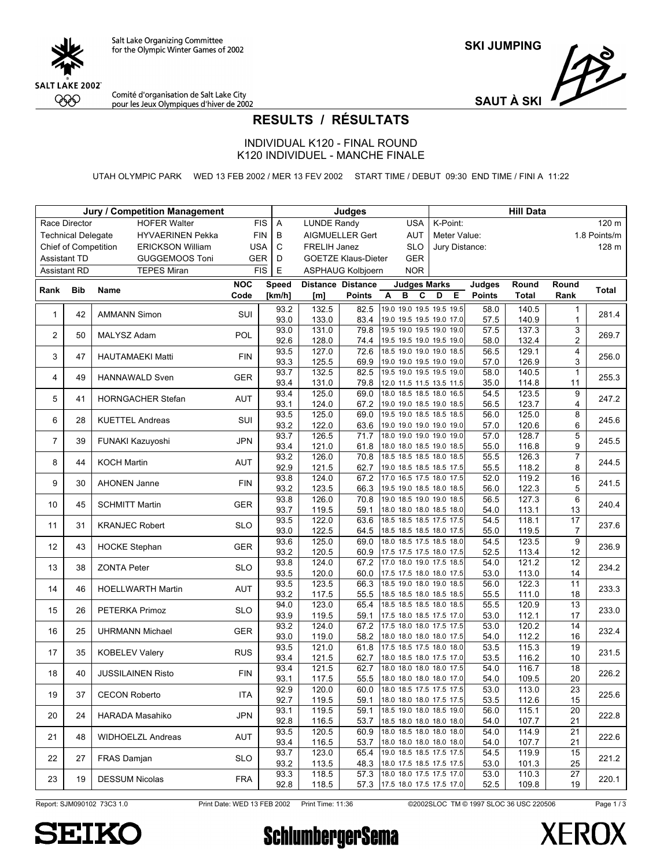

**SKI JUMPING**

Comité d'organisation de Salt Lake City<br>pour les Jeux Olympiques d'hiver de 2002



## **RESULTS / RÉSULTATS**

INDIVIDUAL K120 - FINAL ROUND K120 INDIVIDUEL - MANCHE FINALE

UTAH OLYMPIC PARK WED 13 FEB 2002 / MER 13 FEV 2002 START TIME / DEBUT 09:30 END TIME / FINI A 11:22

| Jury / Competition Management                   |                           |                          |             |                | <b>Judges</b>      |                            |                                                      |              | <b>Hill Data</b> |                |                     |              |  |
|-------------------------------------------------|---------------------------|--------------------------|-------------|----------------|--------------------|----------------------------|------------------------------------------------------|--------------|------------------|----------------|---------------------|--------------|--|
|                                                 | Race Director             | <b>HOFER Walter</b>      | <b>FIS</b>  | $\overline{A}$ | <b>LUNDE Randy</b> |                            | <b>USA</b>                                           | K-Point:     |                  |                |                     | 120 m        |  |
|                                                 | <b>Technical Delegate</b> | <b>HYVAERINEN Pekka</b>  | <b>FIN</b>  | B              |                    | AIGMUELLER Gert            | AUT                                                  | Meter Value: |                  |                |                     | 1.8 Points/m |  |
| Chief of Competition<br><b>ERICKSON William</b> |                           | <b>USA</b>               | $\mathbf C$ | FRELIH Janez   |                    | <b>SLO</b>                 | Jury Distance:                                       |              |                  |                | 128 m               |              |  |
|                                                 | <b>Assistant TD</b>       | <b>GUGGEMOOS Toni</b>    | GER         | D              |                    | <b>GOETZE Klaus-Dieter</b> | <b>GER</b>                                           |              |                  |                |                     |              |  |
|                                                 | Assistant RD              | <b>TEPES Miran</b>       | <b>FIS</b>  | Е              |                    | ASPHAUG Kolbjoern          | <b>NOR</b>                                           |              |                  |                |                     |              |  |
|                                                 |                           |                          | NOC         | <b>Speed</b>   |                    | <b>Distance Distance</b>   | <b>Judges Marks</b>                                  |              | Judges           | Round          | Round               |              |  |
| Rank                                            | <b>Bib</b>                | Name                     | Code        | [km/h]         | [m]                | <b>Points</b>              | C<br>A<br>в                                          | D<br>Е       | <b>Points</b>    | <b>Total</b>   | Rank                | Total        |  |
| $\mathbf{1}$                                    | 42                        | <b>AMMANN Simon</b>      | SUI         | 93.2           | 132.5              | 82.5                       | 19.0 19.0 19.5 19.5 19.5                             |              | 58.0             | 140.5          | 1                   | 281.4        |  |
|                                                 |                           |                          |             | 93.0           | 133.0              | 83.4                       | 19.0 19.5 19.5 19.0 17.0                             |              | 57.5             | 140.9          | 1                   |              |  |
| $\overline{2}$                                  | 50                        | MALYSZ Adam              | <b>POL</b>  | 93.0           | 131.0              | 79.8                       | 19.5 19.0 19.5 19.0 19.0                             |              | 57.5             | 137.3          | 3                   | 269.7        |  |
|                                                 |                           |                          |             | 92.6           | 128.0<br>127.0     | 74.4<br>72.6               | 19.5 19.5 19.0 19.5 19.0<br>18.5 19.0 19.0 19.0 18.5 |              | 58.0             | 132.4          | $\overline{2}$      |              |  |
| 3                                               | 47                        | <b>HAUTAMAEKI Matti</b>  | <b>FIN</b>  | 93.5<br>93.3   | 125.5              | 69.9                       | 19.0 19.0 19.5 19.0 19.0                             |              | 56.5<br>57.0     | 129.1<br>126.9 | 4<br>3              | 256.0        |  |
|                                                 |                           |                          |             | 93.7           | 132.5              | 82.5                       | 19.5 19.0 19.5 19.5 19.0                             |              | 58.0             | 140.5          | $\mathbf{1}$        |              |  |
| 4                                               | 49                        | <b>HANNAWALD Sven</b>    | <b>GER</b>  | 93.4           | 131.0              | 79.8                       | 12.0 11.5 11.5 13.5 11.5                             |              | 35.0             | 114.8          | 11                  | 255.3        |  |
|                                                 |                           |                          |             | 93.4           | 125.0              | 69.0                       | 18.0 18.5 18.5 18.0 16.5                             |              | 54.5             | 123.5          | 9                   |              |  |
| 5                                               | 41                        | HORNGACHER Stefan        | <b>AUT</b>  | 93.1           | 124.0              | 67.2                       | 19.0 19.0 18.5 19.0 18.5                             |              | 56.5             | 123.7          | 4                   | 247.2        |  |
| 6                                               | 28                        | <b>KUETTEL Andreas</b>   | <b>SUI</b>  | 93.5           | 125.0              | 69.0                       | 19.5 19.0 18.5 18.5 18.5                             |              | 56.0             | 125.0          | 8                   | 245.6        |  |
|                                                 |                           |                          |             | 93.2           | 122.0              | 63.6                       | 19.0 19.0 19.0 19.0 19.0                             |              | 57.0             | 120.6          | 6                   |              |  |
| $\overline{7}$                                  | 39                        | FUNAKI Kazuyoshi         | <b>JPN</b>  | 93.7           | 126.5              | 71.7                       | 18.0 19.0 19.0 19.0 19.0                             |              | 57.0             | 128.7          | 5                   | 245.5        |  |
|                                                 |                           |                          |             | 93.4<br>93.2   | 121.0<br>126.0     | 61.8<br>70.8               | 18.0 18.0 18.5 19.0 18.5<br>18.5 18.5 18.5 18.0 18.5 |              | 55.0<br>55.5     | 116.8<br>126.3 | 9<br>$\overline{7}$ |              |  |
| 8                                               | 44                        | <b>KOCH Martin</b>       | <b>AUT</b>  | 92.9           | 121.5              | 62.7                       | 19.0 18.5 18.5 18.5 17.5                             |              | 55.5             | 118.2          | 8                   | 244.5        |  |
|                                                 |                           |                          |             | 93.8           | 124.0              | 67.2                       | 17.0 16.5 17.5 18.0 17.5                             |              | 52.0             | 119.2          | 16                  |              |  |
| 9                                               | 30                        | <b>AHONEN Janne</b>      | <b>FIN</b>  | 93.2           | 123.5              | 66.3                       | 19.5 19.0 18.5 18.0 18.5                             |              | 56.0             | 122.3          | 5                   | 241.5        |  |
| 10                                              | 45                        | <b>SCHMITT Martin</b>    | <b>GER</b>  | 93.8           | 126.0              | 70.8                       | 19.0 18.5 19.0 19.0 18.5                             |              | 56.5             | 127.3          | 6                   | 240.4        |  |
|                                                 |                           |                          |             | 93.7           | 119.5              | 59.1                       | 18.0 18.0 18.0 18.5 18.0                             |              | 54.0             | 113.1          | 13                  |              |  |
| 11                                              | 31                        | <b>KRANJEC Robert</b>    | <b>SLO</b>  | 93.5           | 122.0              | 63.6                       | 18.5 18.5 18.5 17.5 17.5                             |              | 54.5             | 118.1          | 17                  | 237.6        |  |
|                                                 |                           |                          |             | 93.0           | 122.5              | 64.5                       | 18.5 18.5 18.5 18.0 17.5                             |              | 55.0             | 119.5          | $\overline{7}$      |              |  |
| 12                                              | 43                        | <b>HOCKE Stephan</b>     | <b>GER</b>  | 93.6<br>93.2   | 125.0<br>120.5     | 69.0<br>60.9               | 18.0 18.5 17.5 18.5 18.0<br>17.5 17.5 17.5 18.0 17.5 |              | 54.5<br>52.5     | 123.5<br>113.4 | 9<br>12             | 236.9        |  |
|                                                 |                           |                          |             | 93.8           | 124.0              | 67.2                       | 17.0 18.0 19.0 17.5 18.5                             |              | 54.0             | 121.2          | $\overline{12}$     |              |  |
| 13                                              | 38                        | <b>ZONTA Peter</b>       | <b>SLO</b>  | 93.5           | 120.0              | 60.0                       | 17.5 17.5 18.0 18.0 17.5                             |              | 53.0             | 113.0          | 14                  | 234.2        |  |
|                                                 |                           |                          |             | 93.5           | 123.5              | 66.3                       | 18.5 19.0 18.0 19.0 18.5                             |              | 56.0             | 122.3          | 11                  |              |  |
| 14                                              | 46                        | <b>HOELLWARTH Martin</b> | AUT         | 93.2           | 117.5              | 55.5                       | 18.5 18.5 18.0 18.5 18.5                             |              | 55.5             | 111.0          | 18                  | 233.3        |  |
| 15                                              | 26                        | PETERKA Primoz           | <b>SLO</b>  | 94.0           | 123.0              | 65.4                       | 18.5 18.5 18.5 18.0 18.5                             |              | 55.5             | 120.9          | 13                  | 233.0        |  |
|                                                 |                           |                          |             | 93.9           | 119.5              | 59.1                       | 17.5 18.0 18.5 17.5 17.0                             |              | 53.0             | 112.1          | 17                  |              |  |
| 16                                              | 25                        | <b>UHRMANN Michael</b>   | <b>GER</b>  | 93.2<br>93.0   | 124.0<br>119.0     | 67.2<br>58.2               | 17.5 18.0 18.0 17.5 17.5                             |              | 53.0<br>54.0     | 120.2<br>112.2 | 14<br>16            | 232.4        |  |
|                                                 |                           |                          |             | 93.5           | 121.0              | 61.8                       | 18.0 18.0 18.0 18.0 17.5<br>17.5 18.5 17.5 18.0 18.0 |              | 53.5             | 115.3          | $\overline{19}$     |              |  |
| 17                                              | 35                        | <b>KOBELEV Valery</b>    | <b>RUS</b>  | 93.4           | 121.5              | 62.7                       | 18.0 18.5 18.0 17.5 17.0                             |              | 53.5             | 116.2          | 10                  | 231.5        |  |
|                                                 |                           |                          |             | 93.4           | 121.5              | 62.7                       | 18.0 18.0 18.0 18.0 17.5                             |              | 54.0             | 116.7          | 18                  |              |  |
| 18                                              | 40                        | <b>JUSSILAINEN Risto</b> | <b>FIN</b>  | 93.1           | 117.5              | 55.5                       | 18.0 18.0 18.0 18.0 17.0                             |              | 54.0             | 109.5          | 20                  | 226.2        |  |
| 19                                              | 37                        | <b>CECON Roberto</b>     | <b>ITA</b>  | 92.9           | 120.0              | 60.0                       | 18.0 18.5 17.5 17.5 17.5                             |              | 53.0             | 113.0          | 23                  | 225.6        |  |
|                                                 |                           |                          |             | 92.7           | 119.5              | 59.1                       | 18.0 18.0 18.0 17.5 17.5                             |              | 53.5             | 112.6          | 15                  |              |  |
| 20                                              | 24                        | <b>HARADA Masahiko</b>   | <b>JPN</b>  | 93.1           | 119.5              | 59.1                       | 18.5 19.0 18.0 18.5 19.0                             |              | 56.0             | 115.1          | 20                  | 222.8        |  |
|                                                 |                           |                          |             | 92.8<br>93.5   | 116.5<br>120.5     | 53.7<br>60.9               | 18.5 18.0 18.0 18.0 18.0<br>18.0 18.5 18.0 18.0 18.0 |              | 54.0<br>54.0     | 107.7<br>114.9 | 21<br>21            |              |  |
| 21                                              | 48                        | <b>WIDHOELZL Andreas</b> | AUT         | 93.4           | 116.5              | 53.7                       | 18.0 18.0 18.0 18.0 18.0                             |              | 54.0             | 107.7          | 21                  | 222.6        |  |
|                                                 |                           |                          |             | 93.7           | 123.0              | 65.4                       | 19.0 18.5 18.5 17.5 17.5                             |              | 54.5             | 119.9          | 15                  |              |  |
| 22                                              | 27                        | <b>FRAS Damjan</b>       | <b>SLO</b>  | 93.2           | 113.5              | 48.3                       | 18.0 17.5 18.5 17.5 17.5                             |              | 53.0             | 101.3          | 25                  | 221.2        |  |
| 23                                              | 19                        | <b>DESSUM Nicolas</b>    | <b>FRA</b>  | 93.3           | 118.5              | 57.3                       | 18.0 18.0 17.5 17.5 17.0                             |              | 53.0             | 110.3          | 27                  | 220.1        |  |
|                                                 |                           |                          |             | 92.8           | 118.5              | 57.3                       | 17.5 18.0 17.5 17.5 17.0                             |              | 52.5             | 109.8          | 19                  |              |  |

Report: SJM090102 73C3 1.0 Print Date: WED 13 FEB 2002 Print Time: 11:36 ©2002SLOC TM © 1997 SLOC 36 USC 220506

Page 1/3





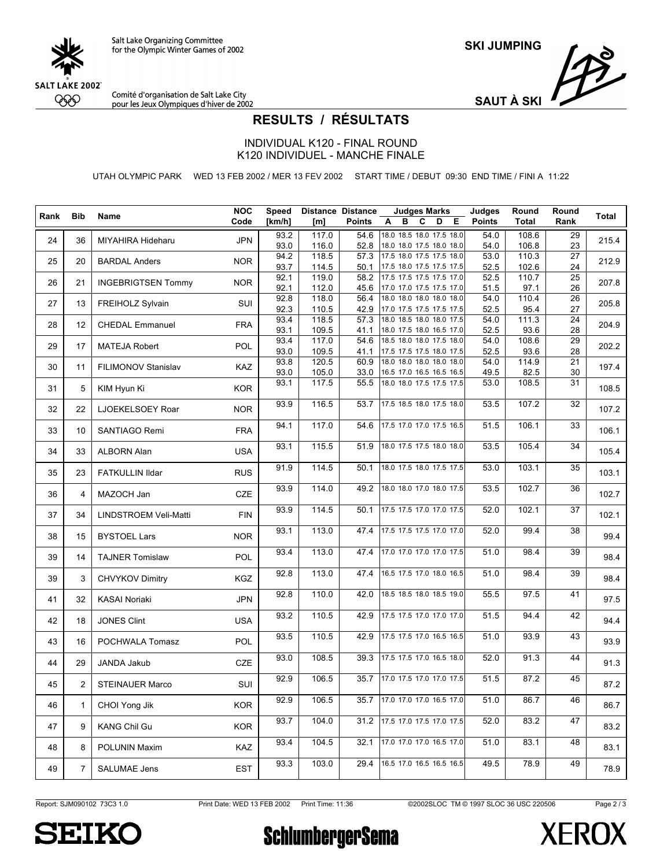

**SKI JUMPING**

Comité d'organisation de Salt Lake City<br>pour les Jeux Olympiques d'hiver de 2002

**SAUT À SKI**

## **RESULTS / RÉSULTATS**

INDIVIDUAL K120 - FINAL ROUND K120 INDIVIDUEL - MANCHE FINALE

UTAH OLYMPIC PARK WED 13 FEB 2002 / MER 13 FEV 2002 START TIME / DEBUT 09:30 END TIME / FINI A 11:22

| Rank | <b>Bib</b>   | Name                      | <b>NOC</b><br>Code | Speed<br>[km/h] | [m]            | Distance Distance<br><b>Points</b> | <b>Judges Marks</b><br>C<br>Е<br>Α<br>D<br>в         | Judges<br><b>Points</b> | Round<br><b>Total</b> | Round<br>Rank         | Total |
|------|--------------|---------------------------|--------------------|-----------------|----------------|------------------------------------|------------------------------------------------------|-------------------------|-----------------------|-----------------------|-------|
|      |              |                           |                    | 93.2            | 117.0          | 54.6                               | 18.0 18.5 18.0 17.5 18.0                             | 54.0                    | 108.6                 | 29                    |       |
| 24   | 36           | MIYAHIRA Hideharu         | <b>JPN</b>         | 93.0            | 116.0          | 52.8                               | 18.0 18.0 17.5 18.0 18.0                             | 54.0                    | 106.8                 | 23                    | 215.4 |
| 25   | 20           | <b>BARDAL Anders</b>      | <b>NOR</b>         | 94.2<br>93.7    | 118.5<br>114.5 | 57.3<br>50.1                       | 17.5 18.0 17.5 17.5 18.0<br>17.5 18.0 17.5 17.5 17.5 | 53.0<br>52.5            | 110.3<br>102.6        | $\overline{27}$<br>24 | 212.9 |
| 26   | 21           | <b>INGEBRIGTSEN Tommy</b> | <b>NOR</b>         | 92.1            | 119.0          | 58.2                               | 17.5 17.5 17.5 17.5 17.0                             | 52.5                    | 110.7                 | 25                    | 207.8 |
|      |              |                           |                    | 92.1            | 112.0          | 45.6                               | 17.0 17.0 17.5 17.5 17.0                             | 51.5                    | 97.1                  | 26                    |       |
| 27   | 13           | FREIHOLZ Sylvain          | SUI                | 92.8            | 118.0          | 56.4                               | 18.0 18.0 18.0 18.0 18.0                             | 54.0                    | 110.4                 | 26                    | 205.8 |
|      |              |                           |                    | 92.3<br>93.4    | 110.5<br>118.5 | 42.9<br>57.3                       | 17.0 17.5 17.5 17.5 17.5<br>18.0 18.5 18.0 18.0 17.5 | 52.5<br>54.0            | 95.4<br>111.3         | 27<br>24              |       |
| 28   | 12           | <b>CHEDAL Emmanuel</b>    | <b>FRA</b>         | 93.1            | 109.5          | 41.1                               | 18.0 17.5 18.0 16.5 17.0                             | 52.5                    | 93.6                  | 28                    | 204.9 |
|      |              |                           |                    | 93.4            | 117.0          | 54.6                               | 18.5 18.0 18.0 17.5 18.0                             | 54.0                    | 108.6                 | 29                    |       |
| 29   | 17           | <b>MATEJA Robert</b>      | POL                | 93.0            | 109.5          | 41.1                               | 17.5 17.5 17.5 18.0 17.5                             | 52.5                    | 93.6                  | 28                    | 202.2 |
|      |              |                           |                    | 93.8            | 120.5          | 60.9                               | 18.0 18.0 18.0 18.0 18.0                             | 54.0                    | 114.9                 | 21                    |       |
| 30   | 11           | FILIMONOV Stanislav       | KAZ                | 93.0            | 105.0          | 33.0                               | 16.5 17.0 16.5 16.5 16.5                             | 49.5                    | 82.5                  | 30                    | 197.4 |
|      |              |                           |                    | 93.1            | 117.5          | 55.5                               | 18.0 18.0 17.5 17.5 17.5                             | 53.0                    | 108.5                 | $\overline{31}$       |       |
| 31   | 5            | KIM Hyun Ki               | <b>KOR</b>         |                 |                |                                    |                                                      |                         |                       |                       | 108.5 |
| 32   | 22           | LJOEKELSOEY Roar          | <b>NOR</b>         | 93.9            | 116.5          | 53.7                               | 17.5 18.5 18.0 17.5 18.0                             | 53.5                    | 107.2                 | 32                    | 107.2 |
| 33   | 10           | SANTIAGO Remi             | <b>FRA</b>         | 94.1            | 117.0          | 54.6                               | 17.5 17.0 17.0 17.5 16.5                             | 51.5                    | 106.1                 | 33                    | 106.1 |
| 34   | 33           | <b>ALBORN Alan</b>        | <b>USA</b>         | 93.1            | 115.5          | 51.9                               | 18.0 17.5 17.5 18.0 18.0                             | 53.5                    | 105.4                 | 34                    | 105.4 |
| 35   | 23           | <b>FATKULLIN IIdar</b>    | <b>RUS</b>         | 91.9            | 114.5          | 50.1                               | 18.0 17.5 18.0 17.5 17.5                             | 53.0                    | 103.1                 | 35                    | 103.1 |
|      |              |                           |                    |                 |                |                                    |                                                      |                         |                       |                       |       |
| 36   | 4            | MAZOCH Jan                | <b>CZE</b>         | 93.9            | 114.0          | 49.2                               | 18.0 18.0 17.0 18.0 17.5                             | 53.5                    | 102.7                 | 36                    | 102.7 |
|      |              |                           |                    | 93.9            | 114.5          | 50.1                               | 17.5 17.5 17.0 17.0 17.5                             | 52.0                    | 102.1                 | $\overline{37}$       |       |
| 37   | 34           | LINDSTROEM Veli-Matti     | <b>FIN</b>         |                 |                |                                    |                                                      |                         |                       |                       | 102.1 |
|      |              |                           |                    | 93.1            | 113.0          | 47.4                               | 17.5 17.5 17.5 17.0 17.0                             | 52.0                    | 99.4                  | 38                    |       |
| 38   | 15           | <b>BYSTOEL Lars</b>       | <b>NOR</b>         |                 |                |                                    |                                                      |                         |                       |                       | 99.4  |
|      |              |                           |                    | 93.4            | 113.0          | 47.4                               | 17.0 17.0 17.0 17.0 17.5                             | 51.0                    | 98.4                  | 39                    |       |
| 39   | 14           | <b>TAJNER Tomislaw</b>    | POL                |                 |                |                                    |                                                      |                         |                       |                       | 98.4  |
| 39   | 3            | <b>CHVYKOV Dimitry</b>    | KGZ                | 92.8            | 113.0          | 47.4                               | 16.5 17.5 17.0 18.0 16.5                             | 51.0                    | 98.4                  | 39                    | 98.4  |
|      |              |                           |                    |                 |                |                                    |                                                      |                         |                       |                       |       |
| 41   | 32           | <b>KASAI Noriaki</b>      | <b>JPN</b>         | 92.8            | 110.0          | 42.0                               | 18.5 18.5 18.0 18.5 19.0                             | 55.5                    | 97.5                  | 41                    | 97.5  |
|      |              |                           |                    |                 |                |                                    |                                                      |                         |                       |                       |       |
| 42   | 18           | <b>JONES Clint</b>        | <b>USA</b>         | 93.2            | 110.5          | 42.9                               | 17.5 17.5 17.0 17.0 17.0                             | 51.5                    | 94.4                  | 42                    | 94.4  |
|      |              |                           |                    | 93.5            | 110.5          | 42.9                               | 17.5 17.5 17.0 16.5 16.5                             | 51.0                    | 93.9                  | 43                    |       |
| 43   | 16           | POCHWALA Tomasz           | <b>POL</b>         |                 |                |                                    |                                                      |                         |                       |                       | 93.9  |
|      |              |                           |                    | 93.0            | 108.5          | 39.3                               | 17.5 17.5 17.0 16.5 18.0                             | 52.0                    | 91.3                  | 44                    |       |
| 44   | 29           | JANDA Jakub               | CZE                |                 |                |                                    |                                                      |                         |                       |                       | 91.3  |
|      |              |                           |                    | 92.9            | 106.5          | 35.7                               | 17.0 17.5 17.0 17.0 17.5                             | 51.5                    | 87.2                  | 45                    |       |
| 45   | 2            | <b>STEINAUER Marco</b>    | SUI                |                 |                |                                    |                                                      |                         |                       |                       | 87.2  |
| 46   | $\mathbf{1}$ | CHOI Yong Jik             | <b>KOR</b>         | 92.9            | 106.5          | 35.7                               | 17.0 17.0 17.0 16.5 17.0                             | 51.0                    | 86.7                  | 46                    | 86.7  |
|      |              |                           |                    |                 |                |                                    |                                                      |                         |                       |                       |       |
| 47   | 9            | <b>KANG Chil Gu</b>       | <b>KOR</b>         | 93.7            | 104.0          | 31.2                               | 17.5 17.0 17.5 17.0 17.5                             | 52.0                    | 83.2                  | 47                    | 83.2  |
|      |              |                           |                    |                 |                |                                    |                                                      |                         |                       |                       |       |
| 48   | 8            | <b>POLUNIN Maxim</b>      | <b>KAZ</b>         | 93.4            | 104.5          | 32.1                               | 17.0 17.0 17.0 16.5 17.0                             | 51.0                    | 83.1                  | 48                    | 83.1  |
|      |              |                           |                    | 93.3            | 103.0          | 29.4                               | 16.5 17.0 16.5 16.5 16.5                             | 49.5                    | 78.9                  | 49                    |       |
| 49   | 7            | <b>SALUMAE Jens</b>       | <b>EST</b>         |                 |                |                                    |                                                      |                         |                       |                       | 78.9  |

Page 2/3



**SchlumbergerSema**